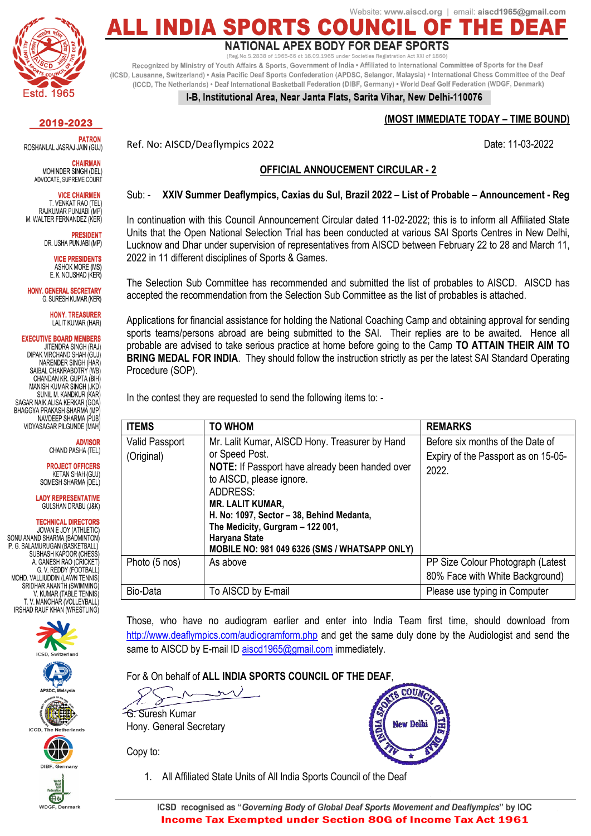

## Website: www.aiscd.org | email: aiscd1965@gmail.com **ALL INDIA S** NATIONAL APEX BODY FOR DEAF SPORTS

(Reg.No.S.2838 of 1965-66 dt 16.09.1965 under Registratio

Recognized by Ministry of Youth Affairs & Sports, Government of India · Affiliated to International Committee of Sports for the Deaf (ICSD, Lausanne, Switzerland) . Asia Pacific Deaf Sports Confederation (APDSC, Selangor, Malaysia) . International Chess Committee of the Deaf (ICCD, The Netherlands) • Deaf International Basketball Federation (DIBF, Germany) • World Deaf Golf Federation (WDGF, Denmark)

#### I-B, Institutional Area, Near Janta Flats, Sarita Vihar, New Delhi-110076

### **(MOST IMMEDIATE TODAY – TIME BOUND)**

Ref. No: AISCD/Deaflympics 2022 and the state of the Date: 11-03-2022

#### **OFFICIAL ANNOUCEMENT CIRCULAR - 2**

#### Sub: - **XXIV Summer Deaflympics, Caxias du Sul, Brazil 2022 – List of Probable – Announcement - Reg**

In continuation with this Council Announcement Circular dated 11-02-2022; this is to inform all Affiliated State Units that the Open National Selection Trial has been conducted at various SAI Sports Centres in New Delhi, Lucknow and Dhar under supervision of representatives from AISCD between February 22 to 28 and March 11, 2022 in 11 different disciplines of Sports & Games.

The Selection Sub Committee has recommended and submitted the list of probables to AISCD. AISCD has accepted the recommendation from the Selection Sub Committee as the list of probables is attached.

Applications for financial assistance for holding the National Coaching Camp and obtaining approval for sending sports teams/persons abroad are being submitted to the SAI. Their replies are to be awaited. Hence all probable are advised to take serious practice at home before going to the Camp **TO ATTAIN THEIR AIM TO BRING MEDAL FOR INDIA**. They should follow the instruction strictly as per the latest SAI Standard Operating Procedure (SOP).

In the contest they are requested to send the following items to: -

| <b>ITEMS</b>                 | <b>TO WHOM</b>                                                                                                                                         | <b>REMARKS</b>                                                                   |
|------------------------------|--------------------------------------------------------------------------------------------------------------------------------------------------------|----------------------------------------------------------------------------------|
| Valid Passport<br>(Original) | Mr. Lalit Kumar, AISCD Hony. Treasurer by Hand<br>or Speed Post.<br>NOTE: If Passport have already been handed over                                    | Before six months of the Date of<br>Expiry of the Passport as on 15-05-<br>2022. |
|                              | to AISCD, please ignore.<br>ADDRESS:<br><b>MR. LALIT KUMAR,</b>                                                                                        |                                                                                  |
|                              | H. No: 1097, Sector - 38, Behind Medanta,<br>The Medicity, Gurgram - 122 001,<br>Haryana State<br><b>MOBILE NO: 981 049 6326 (SMS / WHATSAPP ONLY)</b> |                                                                                  |
| Photo (5 nos)                | As above                                                                                                                                               | PP Size Colour Photograph (Latest<br>80% Face with White Background)             |
| Bio-Data                     | To AISCD by E-mail                                                                                                                                     | Please use typing in Computer                                                    |

Those, who have no audiogram earlier and enter into India Team first time, should download from <http://www.deaflympics.com/audiogramform.php> and get the same duly done by the Audiologist and send the same to AISCD by E-mail ID [aiscd1965@gmail.com](mailto:aiscd1965@gmail.com) immediately.

For & On behalf of **ALL INDIA SPORTS COUNCIL OF THE DEAF**,

G. Suresh Kumar Hony. General Secretary

Copy to:



1. All Affiliated State Units of All India Sports Council of the Deaf

2019-2023

**PATRON** ROSHANLAL JASRAJ JAIN (GUJ)

**CHAIRMAN** MOHINDER SINGH (DEL) ADVOCATE, SUPREME COURT

**VICE CHAIRMEN** T. VENKAT RAO (TEL) RAJKUMAR PUNJABI (MP M. WALTER FERNANDEZ (KER)

> **PRESIDENT** DR. USHA PUNJABI (MP)

> > **VICE PRESIDENTS ASHOK MORE (MS)** E. K. NOUSHAD (KER)

**HONY, GENERAL SECRETARY** G. SURESH KUMAR (KER)

> **HONY, TREASURER** LALIT KUMAR (HAR)

**EXECUTIVE BOARD MEMBERS** JITENDRA SINGH (RAJ) DIPAK VIRCHAND SHAH (GUJ) NARENDER SINGH (HAR SAIBAL CHAKRABOTRY (WB CHANDAN KR. GUPTA (BIH MANISH KUMAR SINGH (JKD) SUNIL M. KANDKUR (KAR SAGAR NAIK ALISA KERKAR (GOA) BHAGGYA PRAKASH SHARMA (MP NAVDEEP SHARMA (PUB) VIDYASAGAR PILGUNDE (MAH)

#### **ADVISOR** CHAND PASHA (TEL)

**PROJECT OFFICERS KETAN SHAH (GUJ)** SOMESH SHARMA (DEL)

**LADY REPRESENTATIVE** GULSHAN DRABU (J&K)

#### **TECHNICAL DIRECTORS**

JOVAN E JOY (ATHLETIC) SONU ANAND SHARMA (BADMINTON) P. G. BALAMURUGAN (BASKETBALL) SUBHASH KAPOOR (CHESS A. GANESH RAO (CRICKET G V REDDY (FOOTRALL) MOHD, VALLIUDDIN (LAWN TENNIS) SRIDHAR ANANTH (SWIMMING) V. KUMAR (TABLE TENNIS) T. V. MANOHAR (VOLLEYBALL) IRSHAD RAUF KHAN (WRESTLING)









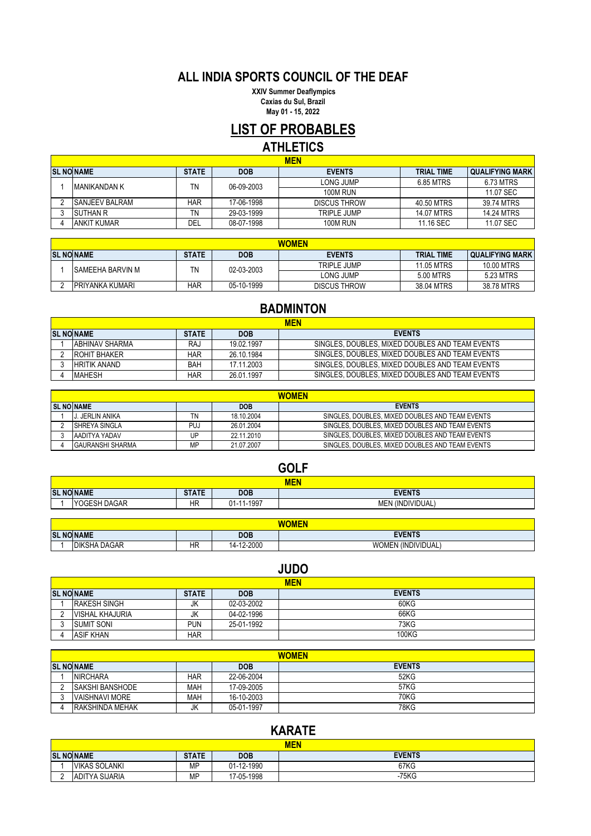## **ALL INDIA SPORTS COUNCIL OF THE DEAF**

 **XXIV Summer Deaflympics Caxias du Sul, Brazil May 01 - 15, 2022**

# **LIST OF PROBABLES**

## **ATHLETICS**

| <b>MEN</b>            |              |            |                     |                   |                        |
|-----------------------|--------------|------------|---------------------|-------------------|------------------------|
| <b>SL NO NAME</b>     | <b>STATE</b> | <b>DOB</b> | <b>EVENTS</b>       | <b>TRIAL TIME</b> | <b>QUALIFYING MARK</b> |
| <b>IMANIKANDAN K</b>  | TN           | 06-09-2003 | LONG JUMP           | 6.85 MTRS         | 6.73 MTRS              |
|                       |              |            | <b>100M RUN</b>     |                   | 11.07 SEC              |
| <b>SANJEEV BALRAM</b> | <b>HAR</b>   | 17-06-1998 | <b>DISCUS THROW</b> | 40.50 MTRS        | 39.74 MTRS             |
| <b>ISUTHAN R</b>      | ΤN           | 29-03-1999 | TRIPLE JUMP         | 14.07 MTRS        | 14.24 MTRS             |
| <b>ANKIT KUMAR</b>    | DEL          | 08-07-1998 | <b>100M RUN</b>     | 11.16 SEC         | 11.07 SEC              |

| <b>WOMEN</b>            |              |            |                     |                   |                   |
|-------------------------|--------------|------------|---------------------|-------------------|-------------------|
| <b>SL NO NAME</b>       | <b>STATE</b> | <b>DOB</b> | <b>EVENTS</b>       | <b>TRIAL TIME</b> | I QUALIFYING MARK |
| <b>SAMEEHA BARVIN M</b> | TN           | 02-03-2003 | TRIPLE JUMP         | 11.05 MTRS        | 10.00 MTRS        |
|                         |              |            | LONG JUMP           | 5.00 MTRS         | 5.23 MTRS         |
| <b>PRIYANKA KUMARI</b>  | HAR          | 05-10-1999 | <b>DISCUS THROW</b> | 38.04 MTRS        | 38.78 MTRS        |

## **BADMINTON**

| <b>MEN</b>             |              |            |                                                 |  |
|------------------------|--------------|------------|-------------------------------------------------|--|
| <b>SL NONAME</b>       | <b>STATE</b> | <b>DOB</b> | <b>EVENTS</b>                                   |  |
| <b>IABHINAV SHARMA</b> | RAJ          | 19.02.1997 | SINGLES, DOUBLES, MIXED DOUBLES AND TEAM EVENTS |  |
| <b>ROHIT BHAKER</b>    | <b>HAR</b>   | 26.10.1984 | SINGLES, DOUBLES, MIXED DOUBLES AND TEAM EVENTS |  |
| <b>HRITIK ANAND</b>    | <b>BAH</b>   | 17.11.2003 | SINGLES, DOUBLES, MIXED DOUBLES AND TEAM EVENTS |  |
| <b>MAHESH</b>          | HAR          | 26.01.1997 | SINGLES, DOUBLES, MIXED DOUBLES AND TEAM EVENTS |  |

|                   | <b>WOMEN</b>            |     |            |                                                 |  |  |
|-------------------|-------------------------|-----|------------|-------------------------------------------------|--|--|
| <b>SL NO NAME</b> |                         |     | <b>DOB</b> | <b>EVENTS</b>                                   |  |  |
|                   | . JERLIN ANIKA          |     | 18.10.2004 | SINGLES, DOUBLES, MIXED DOUBLES AND TEAM EVENTS |  |  |
|                   | <b>ISHREYA SINGLA</b>   | PUJ | 26.01.2004 | SINGLES, DOUBLES, MIXED DOUBLES AND TEAM EVENTS |  |  |
|                   | IAADITYA YADAV          | UP  | 22.11.2010 | SINGLES, DOUBLES, MIXED DOUBLES AND TEAM EVENTS |  |  |
|                   | <b>GAURANSHI SHARMA</b> | MР  | 21.07.2007 | SINGLES. DOUBLES. MIXED DOUBLES AND TEAM EVENTS |  |  |

|            | <b>GOLF</b>       |              |            |                  |  |
|------------|-------------------|--------------|------------|------------------|--|
| <b>MEN</b> |                   |              |            |                  |  |
|            | <b>SL NO NAME</b> | <b>STATE</b> | <b>DOB</b> | <b>EVENTS</b>    |  |
|            | YOGESH DAGAR      | <b>HR</b>    | 01-11-1997 | MEN (INDIVIDUAL) |  |

| <b>SLN</b> | . NO NAME                     |    | <b>DOB</b>    | <b>EVENTS</b>                                 |  |
|------------|-------------------------------|----|---------------|-----------------------------------------------|--|
|            | <b>DAGAP</b><br><b>DIKSHA</b> | ΗR | 2-2000<br>ıд. | <b>IDIVIDUAL</b><br><b>MC</b><br><b>/INIF</b> |  |

| ッししつ                   |              |            |               |  |
|------------------------|--------------|------------|---------------|--|
| <b>MEN</b>             |              |            |               |  |
| <b>SL NO NAME</b>      | <b>STATE</b> | <b>DOB</b> | <b>EVENTS</b> |  |
| <b>RAKESH SINGH</b>    | JK           | 02-03-2002 | 60KG          |  |
| <b>VISHAL KHAJURIA</b> | JK           | 04-02-1996 | 66KG          |  |
| <b>SUMIT SONI</b>      | PUN          | 25-01-1992 | 73KG          |  |
| <b>ASIF KHAN</b>       | HAR          |            | 100KG         |  |

| <b>WOMEN</b>            |     |            |               |  |
|-------------------------|-----|------------|---------------|--|
| <b>SL NO NAME</b>       |     | <b>DOB</b> | <b>EVENTS</b> |  |
| <b>NIRCHARA</b>         | HAR | 22-06-2004 | 52KG          |  |
| <b>ISAKSHI BANSHODE</b> | МАН | 17-09-2005 | 57KG          |  |
| <b>VAISHNAVI MORE</b>   | МАН | 16-10-2003 | <b>70KG</b>   |  |
| <b>RAKSHINDA MEHAK</b>  | JK  | 05-01-1997 | <b>78KG</b>   |  |

## **KARATE**

| <b>MEN</b>            |              |            |               |  |
|-----------------------|--------------|------------|---------------|--|
| <b>SL NO NAME</b>     | <b>STATE</b> | <b>DOB</b> | <b>EVENTS</b> |  |
| <b>VIKAS SOLANKI</b>  | MΡ           | 01-12-1990 | 67KG          |  |
| <b>ADITYA SIJARIA</b> | MΡ           | 17-05-1998 | -75KG         |  |

### **JUDO**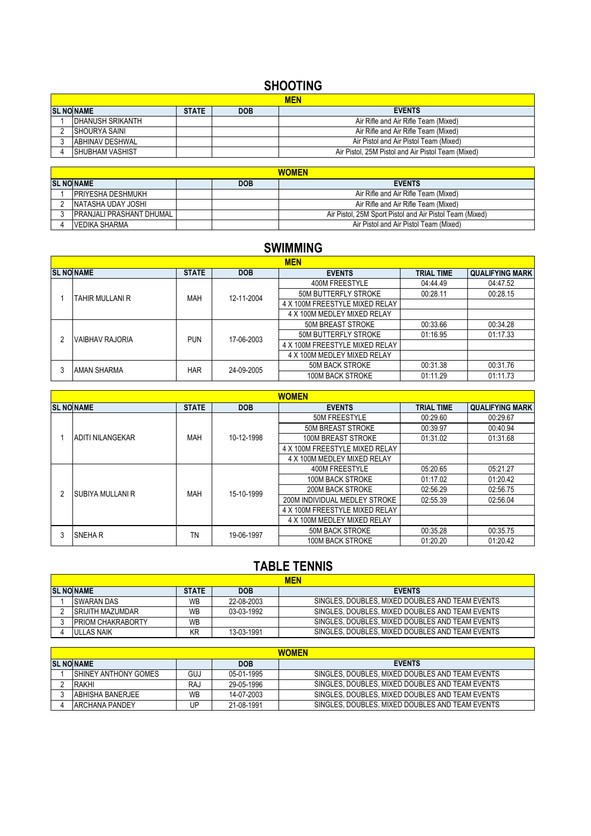# **SHOOTING**

| <b>MEN</b>              |              |            |                                                    |  |
|-------------------------|--------------|------------|----------------------------------------------------|--|
| <b>SL NO NAME</b>       | <b>STATE</b> | <b>DOB</b> | <b>EVENTS</b>                                      |  |
| IDHANUSH SRIKANTH       |              |            | Air Rifle and Air Rifle Team (Mixed)               |  |
| ISHOURYA SAINI          |              |            | Air Rifle and Air Rifle Team (Mixed)               |  |
| <b>ABHINAV DESHWAL</b>  |              |            | Air Pistol and Air Pistol Team (Mixed)             |  |
| <b>ISHUBHAM VASHIST</b> |              |            | Air Pistol, 25M Pistol and Air Pistol Team (Mixed) |  |

| <b>WOMEN</b>              |  |            |                                                          |  |
|---------------------------|--|------------|----------------------------------------------------------|--|
| <b>SL NO NAME</b>         |  | <b>DOB</b> | <b>EVENTS</b>                                            |  |
| <b>IPRIYESHA DESHMUKH</b> |  |            | Air Rifle and Air Rifle Team (Mixed)                     |  |
| NATASHA UDAY JOSHI        |  |            | Air Rifle and Air Rifle Team (Mixed)                     |  |
| IPRANJALI PRASHANT DHUMAL |  |            | Air Pistol, 25M Sport Pistol and Air Pistol Team (Mixed) |  |
| VEDIKA SHARMA             |  |            | Air Pistol and Air Pistol Team (Mixed)                   |  |

## **SWIMMING**

|  | <b>MEN</b>         |              |            |                                |            |                        |  |  |
|--|--------------------|--------------|------------|--------------------------------|------------|------------------------|--|--|
|  | <b>SL NO NAME</b>  | <b>STATE</b> | <b>DOB</b> | <b>EVENTS</b>                  | TRIAL TIME | <b>QUALIFYING MARK</b> |  |  |
|  |                    | <b>MAH</b>   | 12-11-2004 | 400M FREESTYLE                 | 04:44.49   | 04:47.52               |  |  |
|  | TAHIR MULLANI R    |              |            | 50M BUTTERFLY STROKE           | 00:28.11   | 00:28.15               |  |  |
|  |                    |              |            | 4 X 100M FREESTYLE MIXED RELAY |            |                        |  |  |
|  |                    |              |            | 4 X 100M MEDLEY MIXED RELAY    |            |                        |  |  |
|  | VAIBHAV RAJORIA    | <b>PUN</b>   | 17-06-2003 | <b>50M BREAST STROKE</b>       | 00:33.66   | 00:34.28               |  |  |
|  |                    |              |            | <b>50M BUTTERFLY STROKE</b>    | 01:16.95   | 01:17.33               |  |  |
|  |                    |              |            | 4 X 100M FREESTYLE MIXED RELAY |            |                        |  |  |
|  |                    |              |            | 4 X 100M MEDLEY MIXED RELAY    |            |                        |  |  |
|  | <b>AMAN SHARMA</b> | <b>HAR</b>   | 24-09-2005 | 50M BACK STROKE                | 00:31.38   | 00:31.76               |  |  |
|  |                    |              |            | 100M BACK STROKE               | 01:11.29   | 01:11.73               |  |  |

| <b>WOMEN</b> |                          |              |            |                                |                   |                        |  |
|--------------|--------------------------|--------------|------------|--------------------------------|-------------------|------------------------|--|
|              | <b>SL NONAME</b>         | <b>STATE</b> | <b>DOB</b> | <b>EVENTS</b>                  | <b>TRIAL TIME</b> | <b>QUALIFYING MARK</b> |  |
|              |                          |              |            | 50M FREESTYLE                  | 00:29.60          | 00:29.67               |  |
|              |                          |              |            | 50M BREAST STROKE              | 00:39.97          | 00:40.94               |  |
|              | <b>JADITI NILANGEKAR</b> | <b>MAH</b>   | 10-12-1998 | 100M BREAST STROKE             | 01:31.02          | 01:31.68               |  |
|              |                          |              |            | 4 X 100M FREESTYLE MIXED RELAY |                   |                        |  |
|              |                          |              |            | 4 X 100M MEDLEY MIXED RELAY    |                   |                        |  |
|              |                          | MAH          | 15-10-1999 | 400M FREESTYLE                 | 05:20.65          | 05:21.27               |  |
|              | ISUBIYA MULLANI R        |              |            | 100M BACK STROKE               | 01:17.02          | 01:20.42               |  |
|              |                          |              |            | 200M BACK STROKE               | 02:56.29          | 02:56.75               |  |
|              |                          |              |            | 200M INDIVIDUAL MEDLEY STROKE  | 02:55.39          | 02:56.04               |  |
|              |                          |              |            | 4 X 100M FREESTYLE MIXED RELAY |                   |                        |  |
|              |                          |              |            | 4 X 100M MEDLEY MIXED RELAY    |                   |                        |  |
|              | <b>SNEHAR</b>            | ΤN           | 19-06-1997 | <b>50M BACK STROKE</b>         | 00:35.28          | 00:35.75               |  |
|              |                          |              |            | <b>100M BACK STROKE</b>        | 01:20.20          | 01:20.42               |  |

## **TABLE TENNIS**

|                                                                 | <b>MEN</b>                |    |            |                                                 |  |  |  |
|-----------------------------------------------------------------|---------------------------|----|------------|-------------------------------------------------|--|--|--|
| <b>SL NONAME</b><br><b>EVENTS</b><br><b>STATE</b><br><b>DOB</b> |                           |    |            |                                                 |  |  |  |
|                                                                 | SWARAN DAS                | WВ | 22-08-2003 | SINGLES, DOUBLES, MIXED DOUBLES AND TEAM EVENTS |  |  |  |
|                                                                 | <b>ISRIJITH MAZUMDAR</b>  | WВ | 03-03-1992 | SINGLES, DOUBLES, MIXED DOUBLES AND TEAM EVENTS |  |  |  |
|                                                                 | <b>IPRIOM CHAKRABORTY</b> | WB |            | SINGLES, DOUBLES, MIXED DOUBLES AND TEAM EVENTS |  |  |  |
|                                                                 | <b>IULLAS NAIK</b>        | ΚR | 13-03-1991 | SINGLES, DOUBLES, MIXED DOUBLES AND TEAM EVENTS |  |  |  |

| <b>WOMEN</b>                                     |           |            |                                                 |  |  |  |
|--------------------------------------------------|-----------|------------|-------------------------------------------------|--|--|--|
| <b>EVENTS</b><br><b>SL NOINAME</b><br><b>DOB</b> |           |            |                                                 |  |  |  |
| <b>ISHINEY ANTHONY GOMES</b>                     | GUJ       | 05-01-1995 | SINGLES, DOUBLES, MIXED DOUBLES AND TEAM EVENTS |  |  |  |
| RAKHI                                            | RAJ       | 29-05-1996 | SINGLES, DOUBLES, MIXED DOUBLES AND TEAM EVENTS |  |  |  |
| <b>JABHISHA BANERJEE</b>                         | <b>WB</b> | 14-07-2003 | SINGLES, DOUBLES, MIXED DOUBLES AND TEAM EVENTS |  |  |  |
| <b>JARCHANA PANDEY</b>                           | UP        | 21-08-1991 | SINGLES, DOUBLES, MIXED DOUBLES AND TEAM EVENTS |  |  |  |